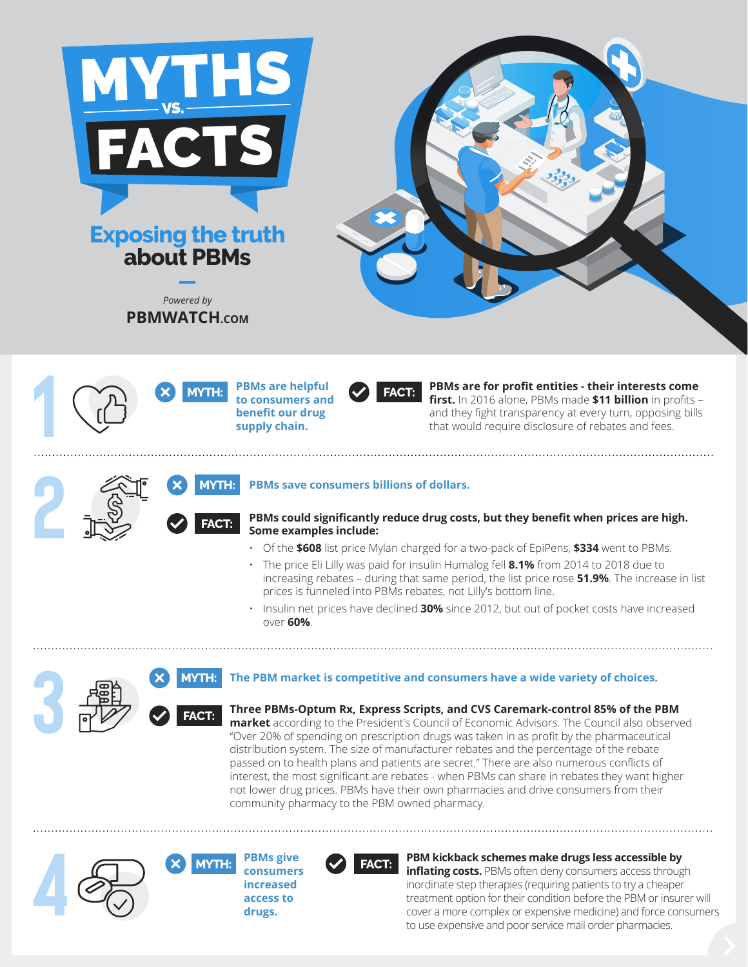





**FACT:**

**FACT:**



**PBMs are for profit entities - their interests come first.** In 2016 alone, PBMs made **\$11 billion** in profits – and they fight transparency at every turn, opposing bills that would require disclosure of rebates and fees.

**2 2 AVTH: PBMs save consumers billions of dollars.**<br> **2 EACT: PBMs could significantly reduce drug cost**<br> **2 EACT: 2 EACT: 2 PBMs could significantly reduce drug cost**<br> **2 EACT: 2 EACT: 2 EAC PBMs could significantly reduce drug costs, but they benefit when prices are high. Some examples include:**

- Of the **\$608** list price Mylan charged for a two-pack of EpiPens, **\$334** went to PBMs.
- The price Eli Lilly was paid for insulin Humalog fell **8.1%** from 2014 to 2018 due to increasing rebates – during that same period, the list price rose **51.9%**. The increase in list prices is funneled into PBMs rebates, not Lilly's bottom line.

• Insulin net prices have declined **30%** since 2012, but out of pocket costs have increased over **60%**.

## **3 ABLE 3 MYTH: The PBM market is competitive and consumers have a wide variety of choices.**

**Three PBMs-Optum Rx, Express Scripts, and CVS Caremark-control 85% of the PBM market** according to the President's Council of Economic Advisors. The Council also observed "Over 20% of spending on prescription drugs was taken in as profit by the pharmaceutical distribution system. The size of manufacturer rebates and the percentage of the rebate passed on to health plans and patients are secret." There are also numerous conflicts of interest, the most significant are rebates - when PBMs can share in rebates they want higher not lower drug prices. PBMs have their own pharmacies and drive consumers from their community pharmacy to the PBM owned pharmacy.



**consumers increased access to drugs.** 



**PBM kickback schemes make drugs less accessible by** 

**inflating costs.** PBMs often deny consumers access through inordinate step therapies (requiring patients to try a cheaper treatment option for their condition before the PBM or insurer will cover a more complex or expensive medicine) and force consumers to use expensive and poor service mail order pharmacies.